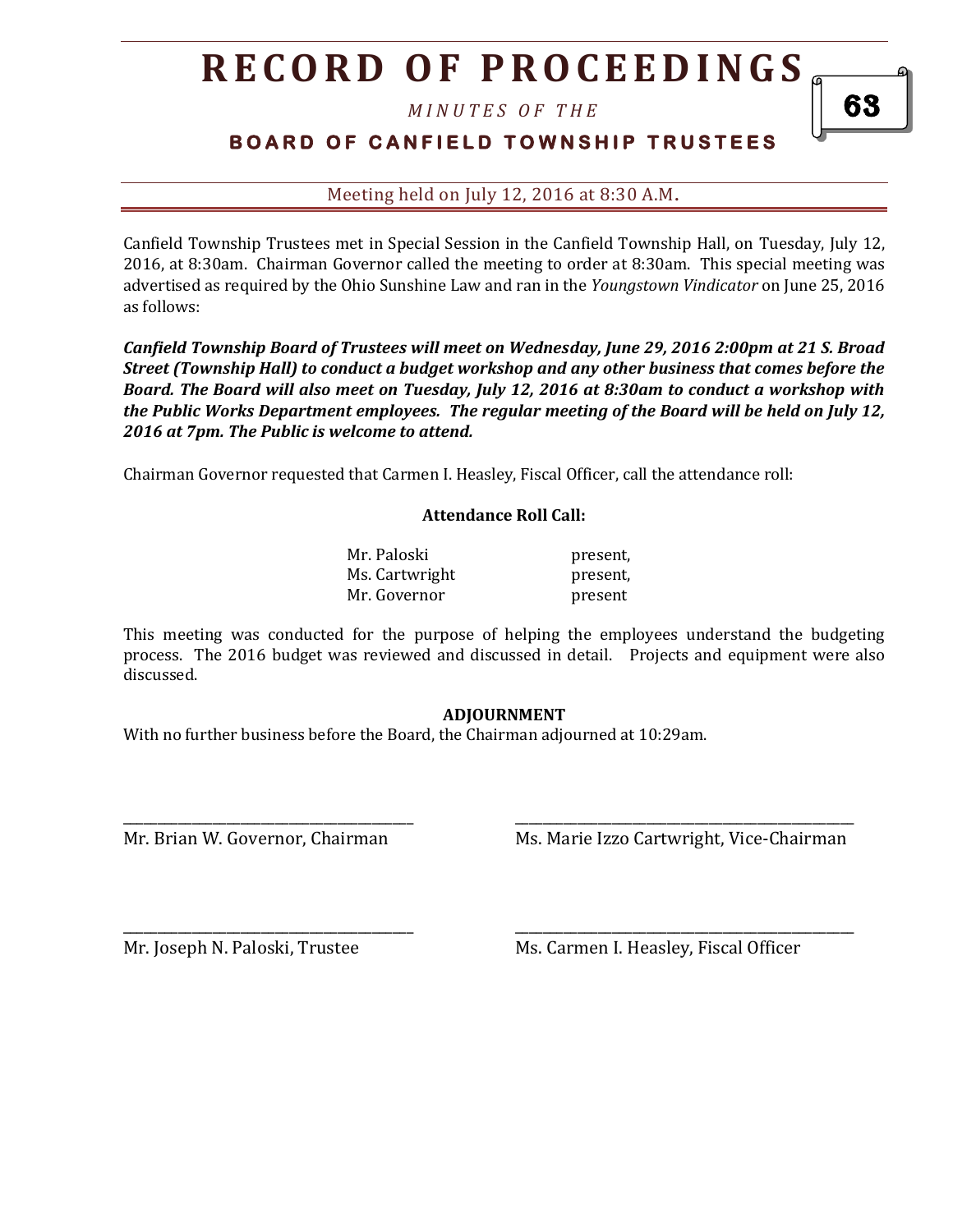# **R E C O R D O F P R O C E E D I N GS**

*M I N U T E S O F T H E* 

### **B O A R D O F C A N F I E L D T O W N S H I P T R U S T E E S**

Meeting held on July 12, 2016 at 8:30 A.M**.**

Canfield Township Trustees met in Special Session in the Canfield Township Hall, on Tuesday, July 12, 2016, at 8:30am. Chairman Governor called the meeting to order at 8:30am. This special meeting was advertised as required by the Ohio Sunshine Law and ran in the *Youngstown Vindicator* on June 25, 2016 as follows:

*Canfield Township Board of Trustees will meet on Wednesday, June 29, 2016 2:00pm at 21 S. Broad Street (Township Hall) to conduct a budget workshop and any other business that comes before the Board. The Board will also meet on Tuesday, July 12, 2016 at 8:30am to conduct a workshop with the Public Works Department employees. The regular meeting of the Board will be held on July 12, 2016 at 7pm. The Public is welcome to attend.*

Chairman Governor requested that Carmen I. Heasley, Fiscal Officer, call the attendance roll:

#### **Attendance Roll Call:**

| Mr. Paloski    | present, |
|----------------|----------|
| Ms. Cartwright | present, |
| Mr. Governor   | present  |

This meeting was conducted for the purpose of helping the employees understand the budgeting process. The 2016 budget was reviewed and discussed in detail. Projects and equipment were also discussed.

#### **ADJOURNMENT**

\_\_\_\_\_\_\_\_\_\_\_\_\_\_\_\_\_\_\_\_\_\_\_\_\_\_\_\_\_\_\_\_\_\_\_\_\_\_\_\_\_\_ \_\_\_\_\_\_\_\_\_\_\_\_\_\_\_\_\_\_\_\_\_\_\_\_\_\_\_\_\_\_\_\_\_\_\_\_\_\_\_\_\_\_\_\_\_\_\_\_\_

\_\_\_\_\_\_\_\_\_\_\_\_\_\_\_\_\_\_\_\_\_\_\_\_\_\_\_\_\_\_\_\_\_\_\_\_\_\_\_\_\_\_ \_\_\_\_\_\_\_\_\_\_\_\_\_\_\_\_\_\_\_\_\_\_\_\_\_\_\_\_\_\_\_\_\_\_\_\_\_\_\_\_\_\_\_\_\_\_\_\_\_

With no further business before the Board, the Chairman adjourned at 10:29am.

Mr. Brian W. Governor, Chairman Ms. Marie Izzo Cartwright, Vice-Chairman

Mr. Joseph N. Paloski, Trustee Ms. Carmen I. Heasley, Fiscal Officer

63